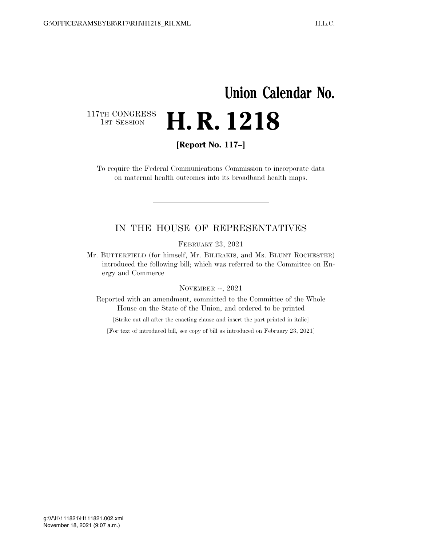## **Union Calendar No.**  117TH CONGRESS<br>1st Session H. R. 1218

**[Report No. 117–]** 

To require the Federal Communications Commission to incorporate data on maternal health outcomes into its broadband health maps.

## IN THE HOUSE OF REPRESENTATIVES

FEBRUARY 23, 2021

Mr. BUTTERFIELD (for himself, Mr. BILIRAKIS, and Ms. BLUNT ROCHESTER) introduced the following bill; which was referred to the Committee on Energy and Commerce

## NOVEMBER --, 2021

Reported with an amendment, committed to the Committee of the Whole House on the State of the Union, and ordered to be printed

[Strike out all after the enacting clause and insert the part printed in italic]

[For text of introduced bill, see copy of bill as introduced on February 23, 2021]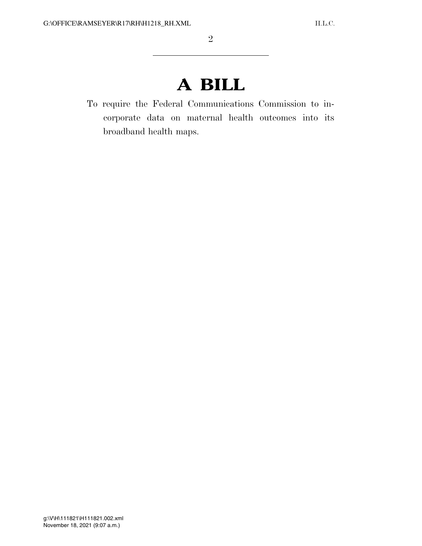## **A BILL**

To require the Federal Communications Commission to incorporate data on maternal health outcomes into its broadband health maps.